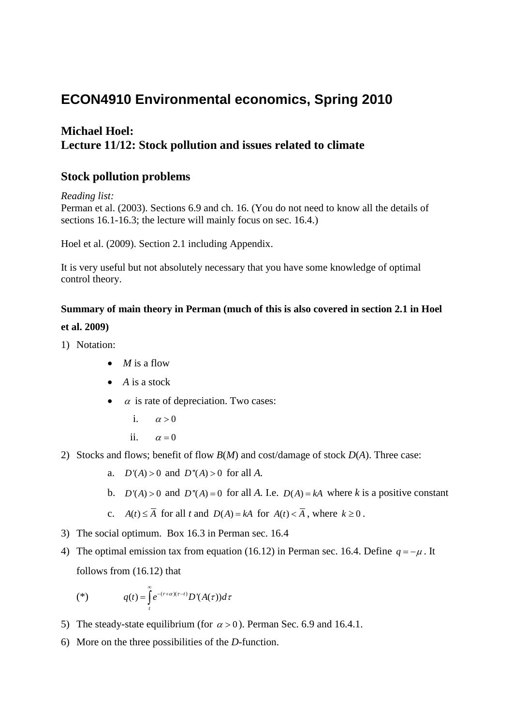# **ECON4910 Environmental economics, Spring 2010**

## **Michael Hoel: Lecture 11/12: Stock pollution and issues related to climate**

### **Stock pollution problems**

*Reading list:*

Perman et al. (2003). Sections 6.9 and ch. 16. (You do not need to know all the details of sections 16.1-16.3; the lecture will mainly focus on sec. 16.4.)

Hoel et al. (2009). Section 2.1 including Appendix.

It is very useful but not absolutely necessary that you have some knowledge of optimal control theory.

#### **Summary of main theory in Perman (much of this is also covered in section 2.1 in Hoel**

#### **et al. 2009)**

- 1) Notation:
	- *M* is a flow
	- *A* is a stock
	- $\alpha$  is rate of depreciation. Two cases:
		- i.  $\alpha > 0$
		- ii.  $\alpha = 0$
- 2) Stocks and flows; benefit of flow *B*(*M*) and cost/damage of stock *D*(*A*). Three case:
	- a.  $D'(A) > 0$  and  $D''(A) > 0$  for all A.
	- b.  $D'(A) > 0$  and  $D''(A) = 0$  for all A. I.e.  $D(A) = kA$  where k is a positive constant
	- c.  $A(t) \leq \overline{A}$  for all *t* and  $D(A) = kA$  for  $A(t) < \overline{A}$ , where  $k \geq 0$ .
- 3) The social optimum. Box 16.3 in Perman sec. 16.4
- 4) The optimal emission tax from equation (16.12) in Perman sec. 16.4. Define  $q = -\mu$ . It follows from (16.12) that

$$
(*)\qquad q(t) = \int_{t}^{\infty} e^{-(r+\alpha)(\tau-t)} D'(A(\tau)) d\tau
$$

- 5) The steady-state equilibrium (for  $\alpha > 0$ ). Perman Sec. 6.9 and 16.4.1.
- 6) More on the three possibilities of the *D*-function.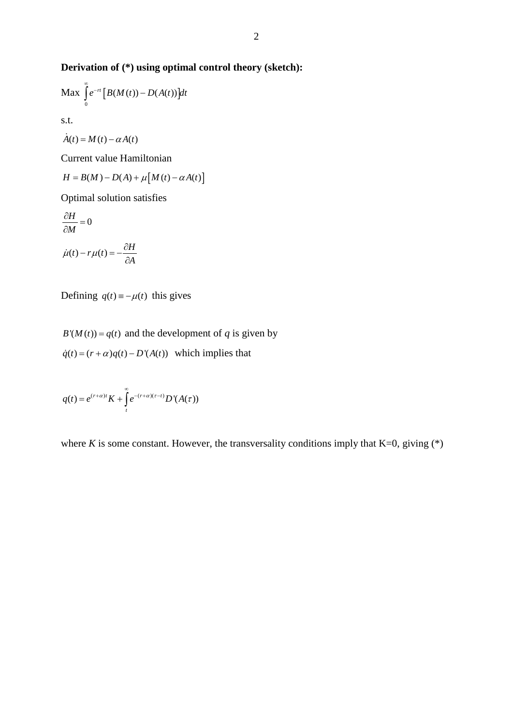## **Derivation of (\*) using optimal control theory (sketch):**

$$
\text{Max} \int_{0}^{\infty} e^{-rt} \left[ B(M(t)) - D(A(t)) \right] dt
$$
\n
$$
\text{s.t.}
$$

$$
\dot{A}(t) = M(t) - \alpha A(t)
$$

Current value Hamiltonian

$$
H = B(M) - D(A) + \mu \big[ M(t) - \alpha A(t) \big]
$$

Optimal solution satisfies

$$
\frac{\partial H}{\partial M} = 0
$$

$$
\dot{\mu}(t) - r\mu(t) = -\frac{\partial H}{\partial A}
$$

Defining  $q(t) = -\mu(t)$  this gives

 $B'(M(t)) = q(t)$  and the development of *q* is given by  $\dot{q}(t) = (r + \alpha)q(t) - D'(A(t))$  which implies that

$$
q(t) = e^{(r+\alpha)t} K + \int_{t}^{\infty} e^{-(r+\alpha)(\tau-t)} D'(A(\tau))
$$

where *K* is some constant. However, the transversality conditions imply that  $K=0$ , giving (\*)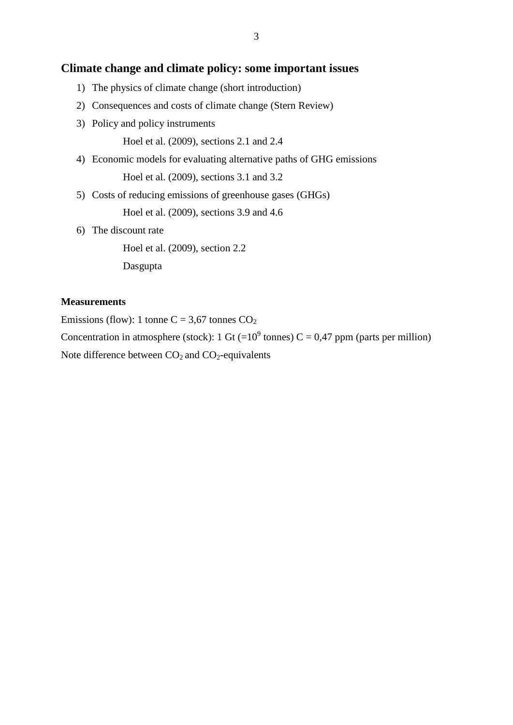### **Climate change and climate policy: some important issues**

- 1) The physics of climate change (short introduction)
- 2) Consequences and costs of climate change (Stern Review)
- 3) Policy and policy instruments
	- Hoel et al. (2009), sections 2.1 and 2.4
- 4) Economic models for evaluating alternative paths of GHG emissions Hoel et al. (2009), sections 3.1 and 3.2
- 5) Costs of reducing emissions of greenhouse gases (GHGs)

Hoel et al. (2009), sections 3.9 and 4.6

6) The discount rate

Hoel et al. (2009), section 2.2

Dasgupta

#### **Measurements**

Emissions (flow): 1 tonne C = 3,67 tonnes  $CO<sub>2</sub>$ 

Concentration in atmosphere (stock): 1 Gt (= $10^9$  tonnes) C = 0,47 ppm (parts per million)

Note difference between  $CO<sub>2</sub>$  and  $CO<sub>2</sub>$ -equivalents